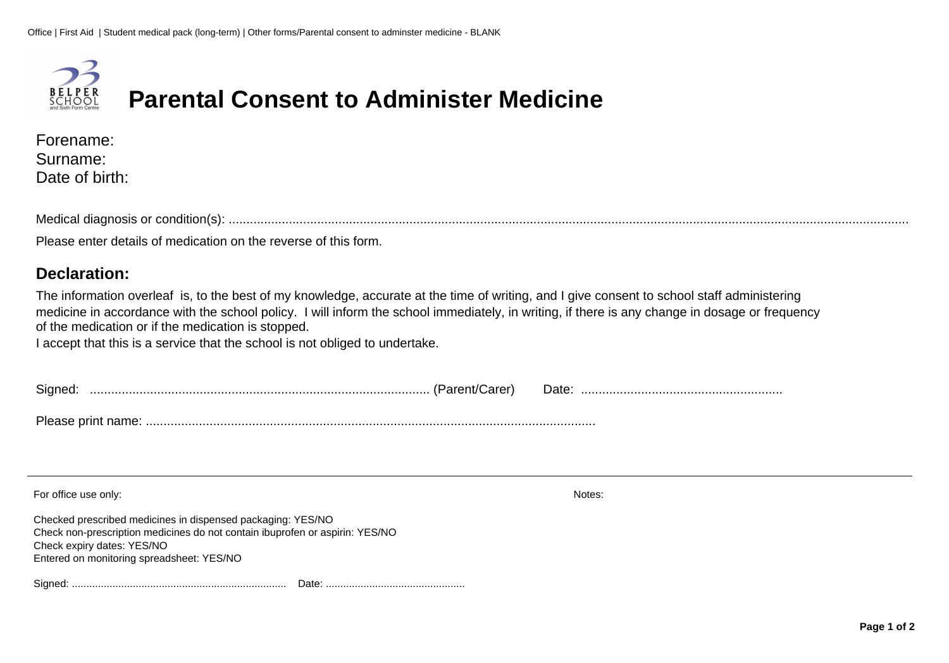

## **Parental Consent to Administer Medicine**

| Forename:      |
|----------------|
| Surname:       |
| Date of birth: |

Medical diagnosis or condition(s): ................................................................................................................................................................................................

Please enter details of medication on the reverse of this form.

## **Declaration:**

The information overleaf is, to the best of my knowledge, accurate at the time of writing, and I give consent to school staff administering medicine in accordance with the school policy. I will inform the school immediately, in writing, if there is any change in dosage or frequency of the medication or if the medication is stopped.

I accept that this is a service that the school is not obliged to undertake.

| For office use only:<br>Checked prescribed medicines in dispensed packaging: YES/NO<br>Check non-prescription medicines do not contain ibuprofen or aspirin: YES/NO | Notes: |
|---------------------------------------------------------------------------------------------------------------------------------------------------------------------|--------|
| Check expiry dates: YES/NO<br>Entered on monitoring spreadsheet: YES/NO                                                                                             |        |
|                                                                                                                                                                     |        |